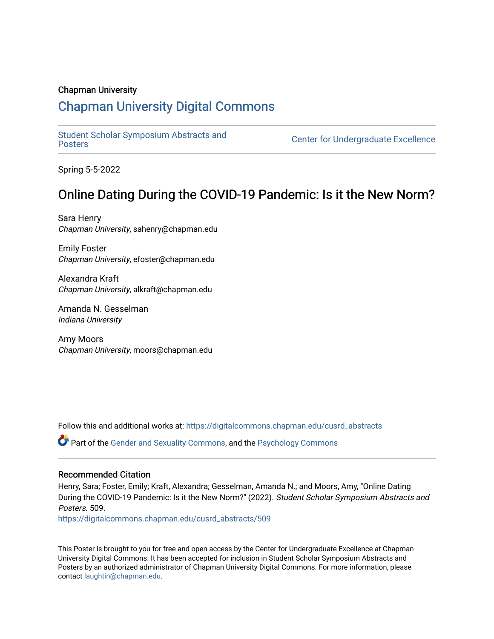### Chapman University

### [Chapman University Digital Commons](https://digitalcommons.chapman.edu/)

[Student Scholar Symposium Abstracts and](https://digitalcommons.chapman.edu/cusrd_abstracts) 

**Center for Undergraduate Excellence** 

Spring 5-5-2022

### Online Dating During the COVID-19 Pandemic: Is it the New Norm?

Sara Henry Chapman University, sahenry@chapman.edu

Emily Foster Chapman University, efoster@chapman.edu

Alexandra Kraft Chapman University, alkraft@chapman.edu

Amanda N. Gesselman Indiana University

Amy Moors Chapman University, moors@chapman.edu

Follow this and additional works at: [https://digitalcommons.chapman.edu/cusrd\\_abstracts](https://digitalcommons.chapman.edu/cusrd_abstracts?utm_source=digitalcommons.chapman.edu%2Fcusrd_abstracts%2F509&utm_medium=PDF&utm_campaign=PDFCoverPages) 

Part of the [Gender and Sexuality Commons](http://network.bepress.com/hgg/discipline/420?utm_source=digitalcommons.chapman.edu%2Fcusrd_abstracts%2F509&utm_medium=PDF&utm_campaign=PDFCoverPages), and the [Psychology Commons](http://network.bepress.com/hgg/discipline/404?utm_source=digitalcommons.chapman.edu%2Fcusrd_abstracts%2F509&utm_medium=PDF&utm_campaign=PDFCoverPages) 

### Recommended Citation

Henry, Sara; Foster, Emily; Kraft, Alexandra; Gesselman, Amanda N.; and Moors, Amy, "Online Dating During the COVID-19 Pandemic: Is it the New Norm?" (2022). Student Scholar Symposium Abstracts and Posters. 509.

[https://digitalcommons.chapman.edu/cusrd\\_abstracts/509](https://digitalcommons.chapman.edu/cusrd_abstracts/509?utm_source=digitalcommons.chapman.edu%2Fcusrd_abstracts%2F509&utm_medium=PDF&utm_campaign=PDFCoverPages) 

This Poster is brought to you for free and open access by the Center for Undergraduate Excellence at Chapman University Digital Commons. It has been accepted for inclusion in Student Scholar Symposium Abstracts and Posters by an authorized administrator of Chapman University Digital Commons. For more information, please contact [laughtin@chapman.edu](mailto:laughtin@chapman.edu).